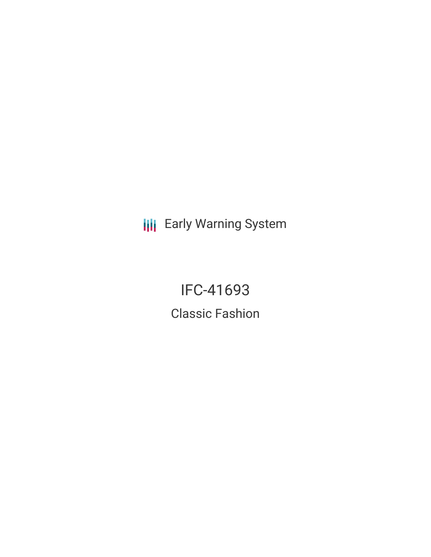**III** Early Warning System

IFC-41693 Classic Fashion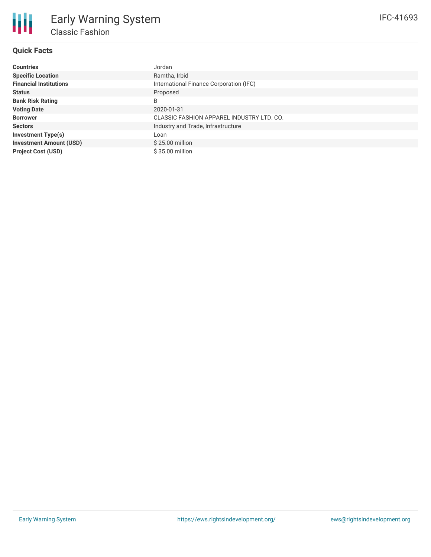# **Quick Facts**

| <b>Countries</b>               | Jordan                                    |
|--------------------------------|-------------------------------------------|
| <b>Specific Location</b>       | Ramtha, Irbid                             |
| <b>Financial Institutions</b>  | International Finance Corporation (IFC)   |
| <b>Status</b>                  | Proposed                                  |
| <b>Bank Risk Rating</b>        | B                                         |
| <b>Voting Date</b>             | 2020-01-31                                |
| <b>Borrower</b>                | CLASSIC FASHION APPAREL INDUSTRY LTD. CO. |
| <b>Sectors</b>                 | Industry and Trade, Infrastructure        |
| <b>Investment Type(s)</b>      | Loan                                      |
| <b>Investment Amount (USD)</b> | $$25.00$ million                          |
| <b>Project Cost (USD)</b>      | \$35.00 million                           |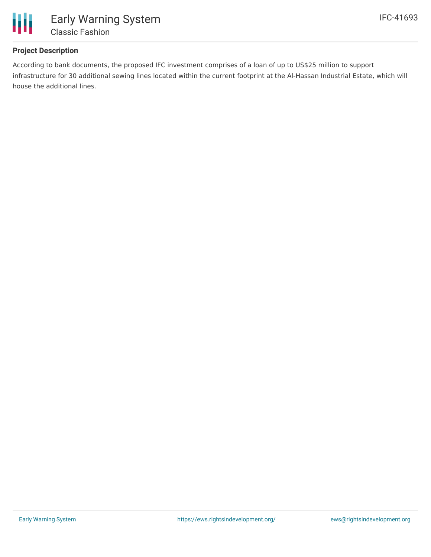

## **Project Description**

According to bank documents, the proposed IFC investment comprises of a loan of up to US\$25 million to support infrastructure for 30 additional sewing lines located within the current footprint at the Al-Hassan Industrial Estate, which will house the additional lines.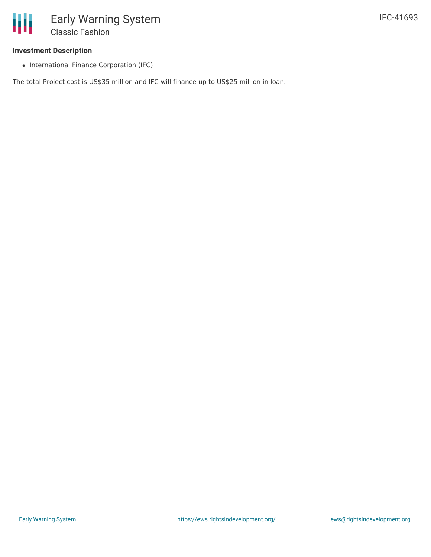

### **Investment Description**

• International Finance Corporation (IFC)

The total Project cost is US\$35 million and IFC will finance up to US\$25 million in loan.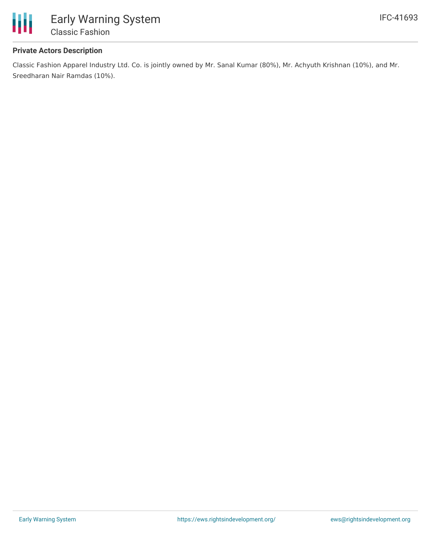

## **Private Actors Description**

Classic Fashion Apparel Industry Ltd. Co. is jointly owned by Mr. Sanal Kumar (80%), Mr. Achyuth Krishnan (10%), and Mr. Sreedharan Nair Ramdas (10%).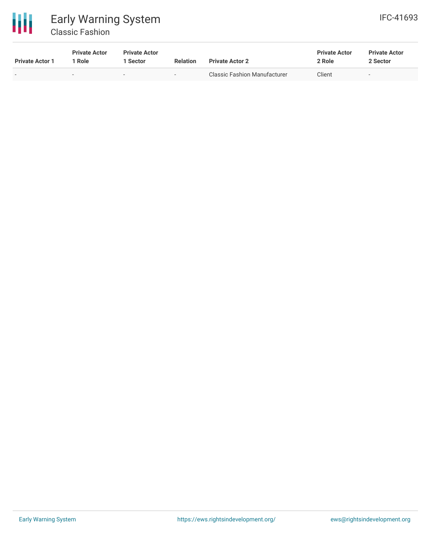

# Early Warning System Classic Fashion

| <b>Private Actor 1</b> | <b>Private Actor</b><br>l Role | <b>Private Actor</b><br>Sector | <b>Relation</b> | <b>Private Actor 2</b>       | <b>Private Actor</b><br>2 Role | <b>Private Actor</b><br>2 Sector |
|------------------------|--------------------------------|--------------------------------|-----------------|------------------------------|--------------------------------|----------------------------------|
| $\sim$                 | $\overline{\phantom{a}}$       | $\sim$                         | $\sim$          | Classic Fashion Manufacturer | Client                         | $\sim$                           |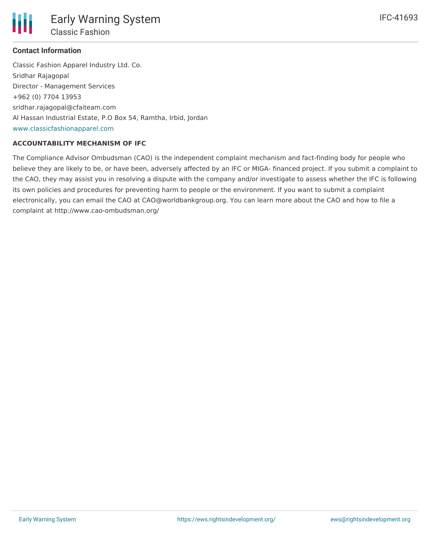

## **Contact Information**

Classic Fashion Apparel Industry Ltd. Co. Sridhar Rajagopal Director - Management Services +962 (0) 7704 13953 sridhar.rajagopal@cfaiteam.com Al Hassan Industrial Estate, P.O Box 54, Ramtha, Irbid, Jordan [www.classicfashionapparel.com](http://www.classicfashionapparel.com)

## **ACCOUNTABILITY MECHANISM OF IFC**

The Compliance Advisor Ombudsman (CAO) is the independent complaint mechanism and fact-finding body for people who believe they are likely to be, or have been, adversely affected by an IFC or MIGA- financed project. If you submit a complaint to the CAO, they may assist you in resolving a dispute with the company and/or investigate to assess whether the IFC is following its own policies and procedures for preventing harm to people or the environment. If you want to submit a complaint electronically, you can email the CAO at CAO@worldbankgroup.org. You can learn more about the CAO and how to file a complaint at http://www.cao-ombudsman.org/